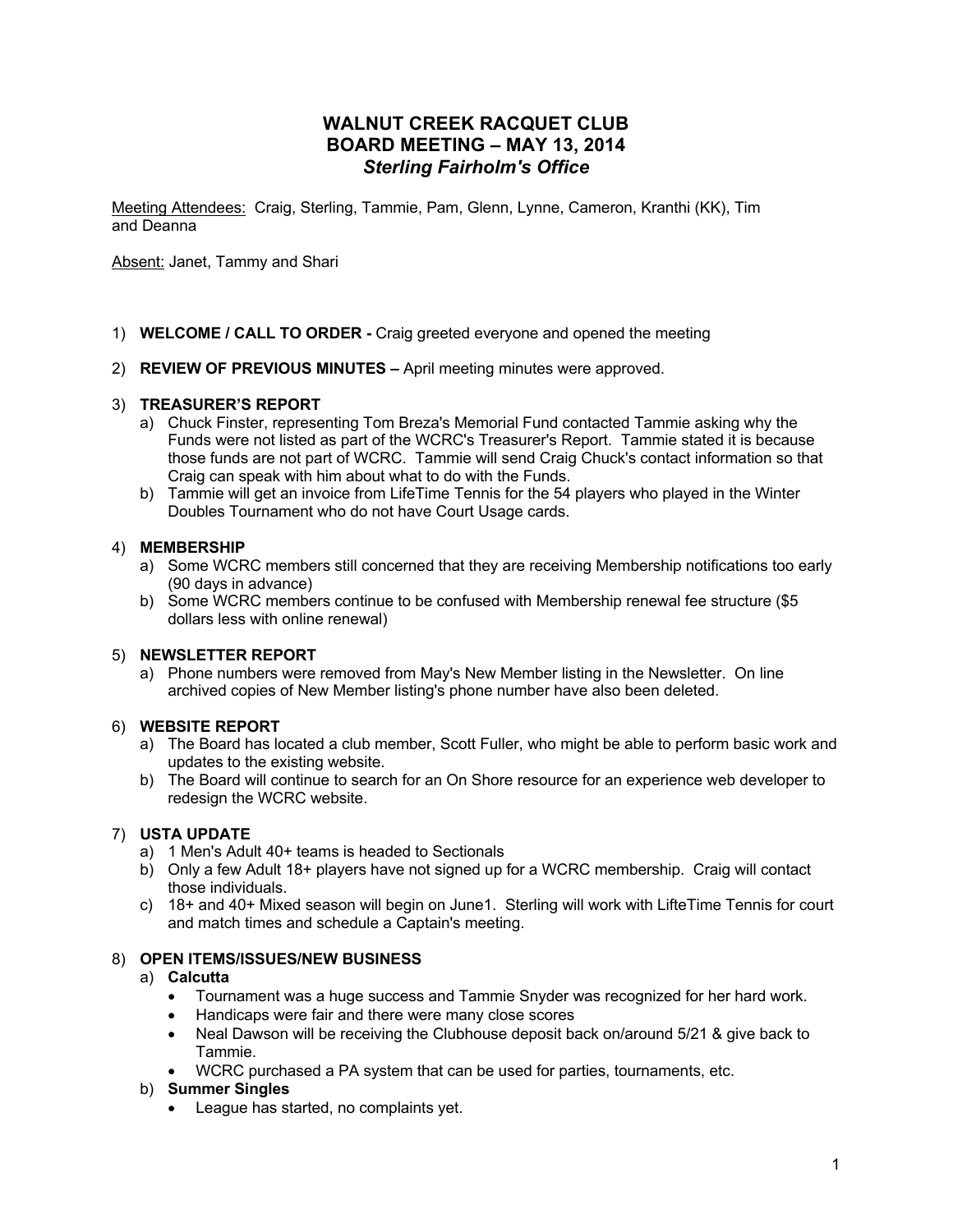# **WALNUT CREEK RACQUET CLUB BOARD MEETING – MAY 13, 2014** *Sterling Fairholm's Office*

Meeting Attendees: Craig, Sterling, Tammie, Pam, Glenn, Lynne, Cameron, Kranthi (KK), Tim and Deanna

Absent: Janet, Tammy and Shari

- 1) **WELCOME / CALL TO ORDER -** Craig greeted everyone and opened the meeting
- 2) **REVIEW OF PREVIOUS MINUTES –** April meeting minutes were approved.

### 3) **TREASURER'S REPORT**

- a) Chuck Finster, representing Tom Breza's Memorial Fund contacted Tammie asking why the Funds were not listed as part of the WCRC's Treasurer's Report. Tammie stated it is because those funds are not part of WCRC. Tammie will send Craig Chuck's contact information so that Craig can speak with him about what to do with the Funds.
- b) Tammie will get an invoice from LifeTime Tennis for the 54 players who played in the Winter Doubles Tournament who do not have Court Usage cards.

### 4) **MEMBERSHIP**

- a) Some WCRC members still concerned that they are receiving Membership notifications too early (90 days in advance)
- b) Some WCRC members continue to be confused with Membership renewal fee structure (\$5 dollars less with online renewal)

## 5) **NEWSLETTER REPORT**

a) Phone numbers were removed from May's New Member listing in the Newsletter. On line archived copies of New Member listing's phone number have also been deleted.

#### 6) **WEBSITE REPORT**

- a) The Board has located a club member, Scott Fuller, who might be able to perform basic work and updates to the existing website.
- b) The Board will continue to search for an On Shore resource for an experience web developer to redesign the WCRC website.

## 7) **USTA UPDATE**

- a) 1 Men's Adult 40+ teams is headed to Sectionals
- b) Only a few Adult 18+ players have not signed up for a WCRC membership. Craig will contact those individuals.
- c) 18+ and 40+ Mixed season will begin on June1. Sterling will work with LifteTime Tennis for court and match times and schedule a Captain's meeting.

### 8) **OPEN ITEMS/ISSUES/NEW BUSINESS**

#### a) **Calcutta**

- Tournament was a huge success and Tammie Snyder was recognized for her hard work.
- Handicaps were fair and there were many close scores
- Neal Dawson will be receiving the Clubhouse deposit back on/around 5/21 & give back to Tammie.
- WCRC purchased a PA system that can be used for parties, tournaments, etc.

#### b) **Summer Singles**

• League has started, no complaints yet.